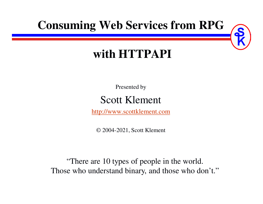### **Consuming Web Services from RPG**

### **with HTTPAPI**

Presented by

#### Scott Klement

http://www.scottklement.com

© 2004-2021, Scott Klement

"There are 10 types of people in the world.Those who understand binary, and those who don't."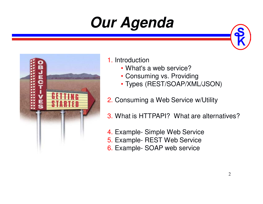## **Our Agenda**



#### 1. Introduction

- What's a web service?
- Consuming vs. Providing
- Types (REST/SOAP/XML/JSON)
- 2. Consuming a Web Service w/Utility
- 3. What is HTTPAPI? What are alternatives?
- 4. Example- Simple Web Service
- 5. Example- REST Web Service
- 6. Example- SOAP web service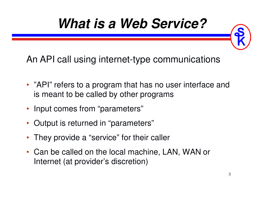### **What is a Web Service?**

An API call using internet-type communications

- "API" refers to a program that has no user interface and is meant to be called by other programs
- Input comes from "parameters"
- Output is returned in "parameters"
- •They provide a "service" for their caller
- Can be called on the local machine, LAN, WAN or Internet (at provider's discretion)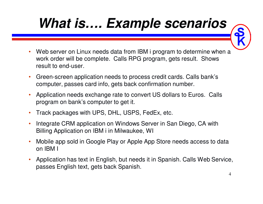## **What is…. Example scenarios**

- • Web server on Linux needs data from IBM i program to determine when a work order will be complete. Calls RPG program, gets result. Shows result to end-user.
- • Green-screen application needs to process credit cards. Calls bank's computer, passes card info, gets back confirmation number.
- • Application needs exchange rate to convert US dollars to Euros. Calls program on bank's computer to get it.
- •Track packages with UPS, DHL, USPS, FedEx, etc.
- • Integrate CRM application on Windows Server in San Diego, CA with Billing Application on IBM i in Milwaukee, WI
- • Mobile app sold in Google Play or Apple App Store needs access to data on IBM I
- • Application has text in English, but needs it in Spanish. Calls Web Service, passes English text, gets back Spanish.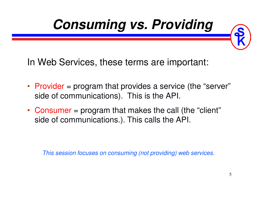

In Web Services, these terms are important:

- Provider = program that provides a service (the "server" side of communications). This is the API.
- Consumer = program that makes the call (the "client" side of communications.). This calls the API.

*This session focuses on consuming (not providing) web services.*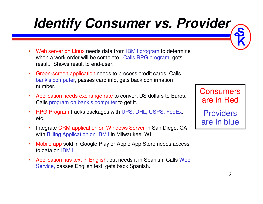## **Identify Consumer vs. Provider**

- •Web server on Linux needs data from IBM i program to determine when a work order will be complete. Calls RPG program, gets result. Shows result to end-user.
- • Green-screen application needs to process credit cards. Calls bank's computer, passes card info, gets back confirmation number.
- • Application needs exchange rate to convert US dollars to Euros. Calls program on bank's computer to get it.
- •• RPG Program tracks packages with UPS, DHL, USPS, FedEx, etc.
- • Integrate CRM application on Windows Server in San Diego, CA with Billing Application on IBM i in Milwaukee, WI
- • Mobile app sold in Google Play or Apple App Store needs accessto data on IBM I
- • Application has text in English, but needs it in Spanish. Calls Web Service, passes English text, gets back Spanish.

**Consumers** are in Red

**Providers** are In blue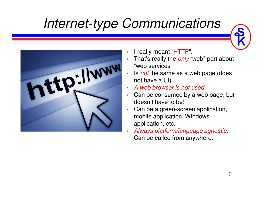## *Internet-type Communications*

tp://www

- •I really meant "HTTP".
- • That's really the *only* "web" part about "web services"
- . Is *not* the same as a web page (does •not have a UI)
- *A web browser is not used.* •
- • Can be consumed by a web page, but doesn't have to be!
- • Can be a green-screen application, mobile application, Windows application, etc.
- • *Always platform/language agnostic*. Can be called from anywhere.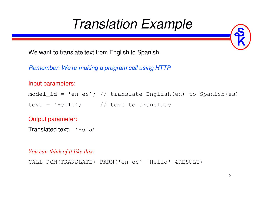### *Translation Example*

We want to translate text from English to Spanish.

*Remember: We're making a program call using HTTP*

#### Input parameters:

```
model_id = 'en-es'; // translate English(en) to Spanish(es)
```
text = 'Hello';  $//$  text to translate

#### Output parameter:

```
Translated text: 'Hola'
```
*You can think of it like this:*

```
CALL PGM(TRANSLATE) PARM('en-es' 'Hello' &RESULT)
```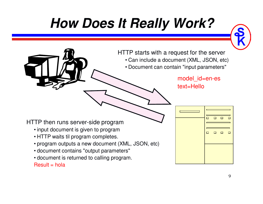## **How Does It Really Work?**



HTTP starts with a request for the server• Can include a document (XML, JSON, etc)• Document can contain "input parameters"model\_id=en-estext=HelloHTTP then runs server-side program • input document is given to program $\Box$  $\Box$  $\Box$  • HTTP waits til program completes. • program outputs a new document (XML, JSON, etc)• document contains "output parameters"• document is returned to calling program.  $Result = hola$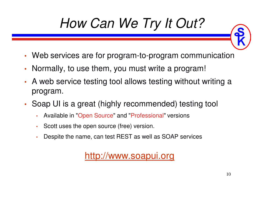## *How Can We Try It Out?*

- •Web services are for program-to-program communication
- •• Normally, to use them, you must write a program!
- • A web service testing tool allows testing without writing a program.
- • Soap UI is a great (highly recommended) testing tool
	- •Available in "Open Source" and "Professional" versions
	- •Scott uses the open source (free) version.
	- •Despite the name, can test REST as well as SOAP services

http://www.soapui.org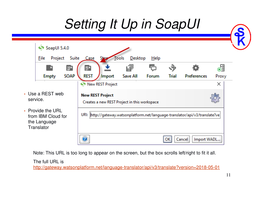## *Setting It Up in SoapUI*

| SoapUI 5.4.0<br><b>Suite</b><br><b>File</b><br>Project                | Case<br><b>Shap</b>                                                                         | <b>Desktop</b><br>Tools | He         |       |                       |                  |
|-----------------------------------------------------------------------|---------------------------------------------------------------------------------------------|-------------------------|------------|-------|-----------------------|------------------|
| $\frac{50}{9}$<br><b>SOAP</b><br><b>Empty</b>                         | <b>REW</b><br><b>REST</b><br><b>Import</b>                                                  | 回<br>Save All           | G<br>Forum | Trial | <b>Preferences</b>    | 。<br>이번<br>Proxy |
| • Use a REST web<br>service.                                          | New REST Project<br><b>New REST Project</b><br>Creates a new REST Project in this workspace |                         |            |       |                       | ×                |
| • Provide the URL<br>from IBM Cloud for<br>the Language<br>Translator | URI: http://gateway.watsonplatform.net/language-translator/api/v3/translate?ve              |                         |            |       |                       |                  |
|                                                                       |                                                                                             |                         |            |       | Import WADL<br>Cancel |                  |

Note: This URL is too long to appear on the screen, but the box scrolls left/right to fit it all.

The full URL is

http://gateway.watsonplatform.net/language-translator/api/v3/translate?version=2018-05-01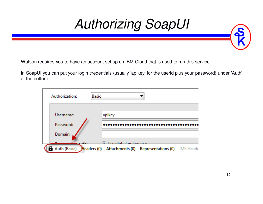

Watson requires you to have an account set up on IBM Cloud that is used to run this service.

In SoapUI you can put your login credentials (usually 'apikey' for the userid plus your password) under 'Auth' at the bottom.

| Authorization:           | <b>Basic</b> |                        |                                     |           |
|--------------------------|--------------|------------------------|-------------------------------------|-----------|
| Username:<br>Password:   |              | apikey                 |                                     |           |
| Domain:                  |              | a Hegalobal professors |                                     |           |
| Auth (Basic) Headers (0) |              |                        | Attachments (0) Representations (0) | JMS Heade |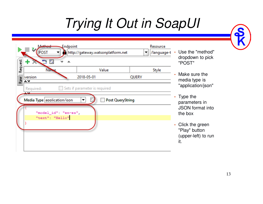## *Trying It Out in SoapUI*

| Request | Endpoint<br>Method<br><b>POST</b><br>$\mathbb{C}$ $\mathbb{C}$ | http://gateway.watsonplatform.net | Resource<br>/language-t | Use the "method"<br>dropdown to pick<br>"POST"                   |
|---------|----------------------------------------------------------------|-----------------------------------|-------------------------|------------------------------------------------------------------|
|         | <b>Name</b>                                                    | Value                             | Style                   |                                                                  |
|         | $\frac{1}{2}$ version                                          | 2018-05-01                        | QUERY                   | Make sure the<br>media type is                                   |
|         | Required:                                                      | Sets if parameter is required     |                         | "application/json"                                               |
|         | Media Type application/ison                                    | <b>Post QueryString</b>           |                         | $\cdot$ Type the<br>parameters in                                |
|         | "model_id": "en-es",                                           |                                   |                         | <b>JSON</b> format into<br>the box                               |
|         | "text": "Hello"                                                |                                   |                         | • Click the green<br>"Play" button<br>(upper-left) to run<br>it. |

 $\gamma$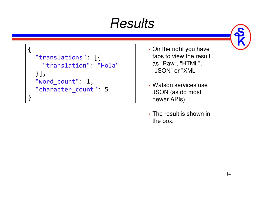## *Results*

```
{"translations": [{
"translation": "Hola"}],
"word_count": 1,
"character_count": 5}
```
- On the right you have tabs to view the result as "Raw", "HTML", "JSON" or "XML
- Watson services use JSON (as do most newer APIs)
- The result is shown in the box.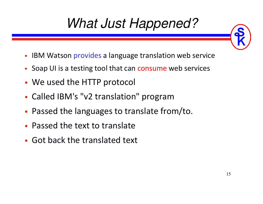## *What Just Happened?*

- •IBM Watson provides a language translation web service
- Soap UI is a testing tool that can consume web services
- •We used the HTTP protocol
- •Called IBM's "v2 translation" program
- •Passed the languages to translate from/to.
- •Passed the text to translate
- •Got back the translated text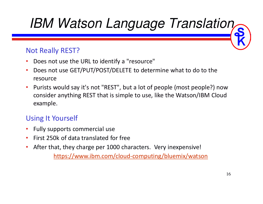## *IBM Watson Language Translation*

#### Not Really REST?

- •Does not use the URL to identify a "resource"
- $\bullet$  Does not use GET/PUT/POST/DELETE to determine what to do to the resource
- • Purists would say it's not "REST", but a lot of people (most people?) now consider anything REST that is simple to use, like the Watson/IBM Cloud example.

#### Using It Yourself

- •Fully supports commercial use
- •First 250k of data translated for free
- $\bullet$ After that, they charge per 1000 characters. Very inexpensive!

https://www.ibm.com/cloud-computing/bluemix/watson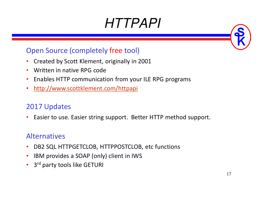## *HTTPAPI*

#### Open Source (completely free tool)

- $\bullet$ Created by Scott Klement, originally in 2001
- $\bullet$ Written in native RPG code
- $\bullet$ Enables HTTP communication from your ILE RPG programs
- •http://www.scottklement.com/httpapi

#### 2017 Updates

 $\bullet$ Easier to use. Easier string support. Better HTTP method support.

#### Alternatives

- •DB2 SQL HTTPGETCLOB, HTTPPOSTCLOB, etc functions
- •IBM provides a SOAP (only) client in IWS
- $\bullet$ 3<sup>rd</sup> party tools like GETURI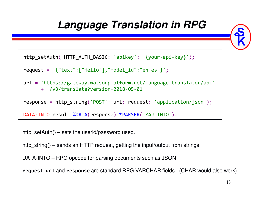#### **Language Translation in RPG**



```
http_setAuth( HTTP_AUTH_BASIC: 'apikey': '{your-api-key}');
```

```
request= '{"text":["Hello"],"model_id":"en-es"}';
```

```
url= 'https://gateway.watsonplatform.net/language-translator/api'
     + '/v3/translate?version=2018-05-01
```

```
response = http_string('POST': url: request: 'application/json');
```

```
DATA-INTO result %DATA(response) %PARSER('YAJLINTO');
```
http setAuth $()$  – sets the userid/password used.

http string() – sends an HTTP request, getting the input/output from strings

DATA-INTO – RPG opcode for parsing documents such as JSON

**request**, **url** and **response** are standard RPG VARCHAR fields. (CHAR would also work)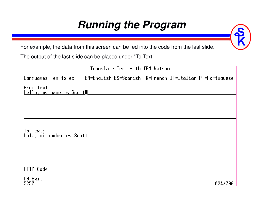#### **Running the Program**

For example, the data from this screen can be fed into the code from the last slide.

The output of the last slide can be placed under "To Text".

|                                                    | Translate Text with IBM Watson                           |
|----------------------------------------------------|----------------------------------------------------------|
| Languages: <u>en</u> to <u>es</u>                  | EN=English ES=Spanish FR=French IT=Italian PT=Portuguese |
| From Text:<br>Hello, my name is Scott              |                                                          |
|                                                    |                                                          |
|                                                    |                                                          |
| $\overline{I}$ o Text:<br>Hola, mi nombre es Scott |                                                          |
| HTTP Code:                                         |                                                          |
| $F3=Exit$<br>5250                                  | 024/006                                                  |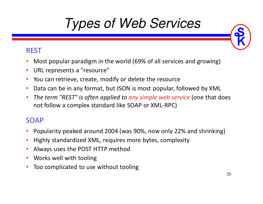## *Types of Web Services*

#### REST

- •Most popular paradigm in the world (69% of all services and growing)
- $\bullet$ URL represents a "resource"
- •You can retrieve, create, modify or delete the resource
- •Data can be in any format, but JSON is most popular, followed by XML
- • *The term "REST" is often applied to any simple web service* (one that does not follow a complex standard like SOAP or XML-RPC)

#### SOAP

- •Popularity peaked around 2004 (was 90%, now only 22% and shrinking)
- •Highly standardized XML, requires more bytes, complexity
- •Always uses the POST HTTP method
- $\bullet$ Works well with tooling
- •Too complicated to use without tooling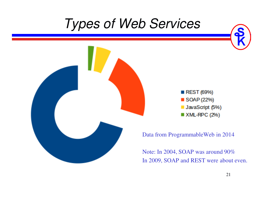### *Types of Web Services*





Data from ProgrammableWeb in 2014

Note: In 2004, SOAP was around 90%In 2009, SOAP and REST were about even.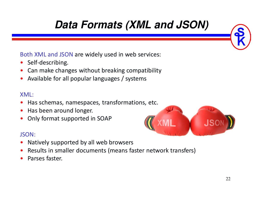### **Data Formats (XML and JSON)**

Both XML and JSON are widely used in web services:

- $\bullet$ Self-describing.
- •Can make changes without breaking compatibility
- •Available for all popular languages / systems

#### XML:

- $\bullet$ Has schemas, namespaces, transformations, etc.
- •Has been around longer.
- •Only format supported in SOAP

#### JSON:

- •Natively supported by all web browsers
- •Results in smaller documents (means faster network transfers)
- •Parses faster.

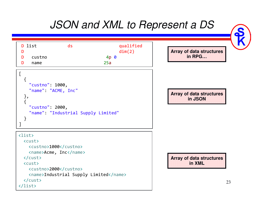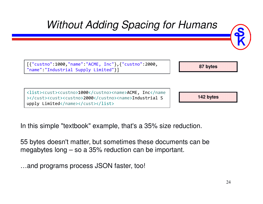

In this simple "textbook" example, that's a 35% size reduction.

55 bytes doesn't matter, but sometimes these documents can be megabytes long – so a 35% reduction can be important.

…and programs process JSON faster, too!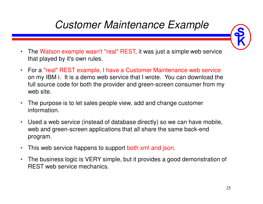### *Customer Maintenance Example*

- • The Watson example wasn't "real" REST, it was just a simple web service that played by it's own rules.
- $\bullet$  For a "real" REST example, I have a Customer Maintenance web service on my IBM i. It is a demo web service that I wrote. You can download the full source code for both the provider and green-screen consumer from my web site.
- $\bullet$  The purpose is to let sales people view, add and change customer information.
- $\bullet$  Used a web service (instead of database directly) so we can have mobile, web and green-screen applications that all share the same back-end program.
- •This web service happens to support both xml and json.
- $\bullet$  The business logic is VERY simple, but it provides a good demonstration of REST web service mechanics.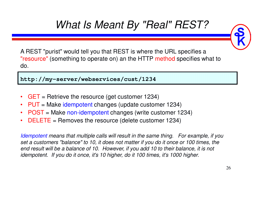### *What Is Meant By "Real" REST?*



A REST "purist" would tell you that REST is where the URL specifies a "resource" (something to operate on) an the HTTP method specifies what to do.

**http://my-server/webservices/cust/1234**

- $\bullet$ GET = Retrieve the resource (get customer 1234)
- $\bullet$ PUT = Make idempotent changes (update customer 1234)
- $\bullet$ POST = Make non-idempotent changes (write customer 1234)
- •DELETE = Removes the resource (delete customer 1234)

*Idempotent means that multiple calls will result in the same thing. For example, if you set a customers "balance" to 10, it does not matter if you do it once or 100 times, the end result will be a balance of 10. However, if you add 10 to their balance, it is not idempotent. If you do it once, it's 10 higher, do it 100 times, it's 1000 higher.*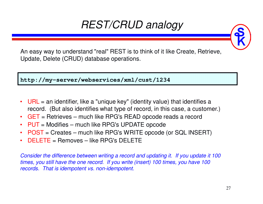### *REST/CRUD analogy*

An easy way to understand "real" REST is to think of it like Create, Retrieve, Update, Delete (CRUD) database operations.

**http://my-server/webservices/xml/cust/1234**

- $\bullet$  $URL = an$  identifier, like a "unique key" (identity value) that identifies a record. (But also identifies what type of record, in this case, a customer.)
- GET = Retrieves much like RPG's READ opcode reads a record
- PUT = Modifies much like RPG's UPDATE opcode
- $\bullet$ POST = Creates – much like RPG's WRITE opcode (or SQL INSERT)
- •DELETE = Removes – like RPG's DELETE

*Consider the difference between writing a record and updating it. If you update it 100 times, you still have the one record. If you write (insert) 100 times, you have 100 records. That is idempotent vs. non-idempotent.*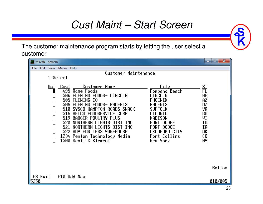#### *Cust Maint – Start Screen*

The customer maintenance program starts by letting the user select a customer.

 $x$  $\boxed{1}$  tn5250 - power8 File Edit View Macro Help Customer Maintenance  $1 =$ Select Opt Cust **Customer Name** City ST 495 Acme Foods Pompano Beach 504 FLEMING FOODS- LINCOLN ΝF LINCOLN AΖ 505 FLEMING CO PHOFNTX 506 FLEMING FOODS- PHOENIX PHOFNTX AΖ 510 SYSCO HAMPTON ROADS-SNACK **SUFFOLK** VA 516 BELCA FOODSERVICE CORP GA ATI ANTA 519 BADGER POULTRY PLUS WI MADISON 520 NORTHERN LIGHTS DIST INC IΑ FORT DODGE 521 NORTHERN LIGHTS DIST INC FORT DODGE ΙA 522 BUY FOR LESS WAREHOUSE OKLAHOMA CITY 0K 1234 Penton Technology Media Fort Collins  $C<sub>0</sub>$ 1500 Scott C Klement New York **NY Bottom**  $F3 = Exit$ F10=Add New 5250 010/005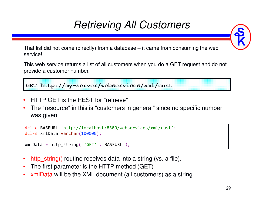### *Retrieving All Customers*



That list did not come (directly) from a database – it came from consuming the web service!

This web service returns a list of all customers when you do a GET request and do not provide a customer number.

**GET http://my-server/webservices/xml/cust**

- •HTTP GET is the REST for "retrieve"
- • The "resource" in this is "customers in general" since no specific number was given.

```
dcl-c BASEURL 'http://localhost:8500/webservices/xml/cust';
dcl-s xmlData varchar(100000);
```

```
xmlData= http_string( 'GET' : BASEURL );
```
- •http\_string() routine receives data into a string (vs. a file).
- •The first parameter is the HTTP method (GET)
- •xmlData will be the XML document (all customers) as a string.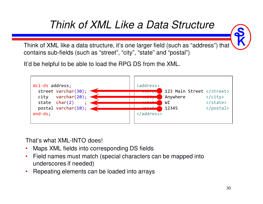#### *Think of XML Like a Data Structure*

Think of XML like a data structure, it's one larger field (such as "address") that contains sub-fields (such as "street", "city", "state" and "postal")

It'd be helpful to be able to load the RPG DS from the XML.



That's what XML-INTO does!

- $\bullet$ Maps XML fields into corresponding DS fields
- Field names must match (special characters can be mapped into  $\bullet$ underscores if needed)
- $\bullet$ Repeating elements can be loaded into arrays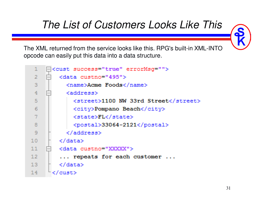### *The List of Customers Looks Like This*

The XML returned from the service looks like this. RPG's built-in XML-INTO opcode can easily put this data into a data structure.

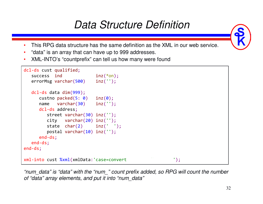#### *Data Structure Definition*

- •This RPG data structure has the same definition as the XML in our web service.
- •"data" is an array that can have up to 999 addresses.
- •XML-INTO's "countprefix" can tell us how many were found

```
dcl-ds cust qualified;
  success ind inz(*on);<br>errorMsg varchar(500) inz('');errorMsg varchar(500) inz('');
                   inz(0);
   dcl-ds data dim(999);
      custno packed(5: 0) inz(0);
     name varchar(30) inz('');
      dcl-ds address;
         street varchar(30) inz('');
         city varchar(20) inz('');
         state char(2) inz(' ');
         postal varchar(10) inz('');
      end-ds;end-ds;end-ds;xml-into cust %xml(xmlData:'case=convert countprefixed:');
```
*"num\_data" is "data" with the "num\_" count prefix added, so RPG will count the number of "data" array elements, and put it into "num\_data"*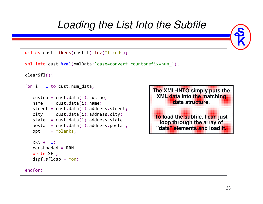#### *Loading the List Into the Subfile*

```
dcl-ds cust likeds(cust_t) inz(*likeds);
xml-into cust %xml(xmlData:'case=convert countprefix=num_');
clearSfl();for i
=1 to cust.num_data;
   custno= cust.data(i).custno;
   \mathsf{name} = \mathsf{cust.data}(\mathtt{i}).\mathsf{name};
street = cust.data(i).address.street;

city = cust.data(i).address.city;

state = cust.data(i).address.state;

postal = cust.data(i).address.postal;
   opt = *blanks;
   RRN +=1;

recsLoaded= RRN;

write SFL;
   dspf.sfldsp= *on;
endfor;The XML-INTO simply puts the XML data into the matching data structure.To load the subfile, I can just loop through the array of 
"data" elements and load it.
```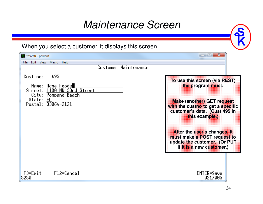#### *Maintenance Screen*

When you select a customer, it displays this screen

| tn5250 - power8                                                                                                                      | $\mathbf{x}$<br>$=$<br>-                                                                                                                                                 |
|--------------------------------------------------------------------------------------------------------------------------------------|--------------------------------------------------------------------------------------------------------------------------------------------------------------------------|
| File Edit View Macro<br>Help                                                                                                         |                                                                                                                                                                          |
| Customer Maintenance                                                                                                                 |                                                                                                                                                                          |
| Cust no:<br>495<br>Name: Acme Foods<br>Street: 1100 NW 33rd Street<br><u> City: Pompano Beach</u><br>State: FL<br>Postal: 33064-2121 | To use this screen (via REST)<br>the program must:<br>Make (another) GET request<br>with the custno to get a specific<br>customer's data. (Cust 495 in<br>this example.) |
|                                                                                                                                      | After the user's changes, it<br>must make a POST request to<br>update the customer. (OFPUT<br>If it is a new customer.)                                                  |
| $F3 = Exit$<br>$F12 =$ Cancel<br>5250                                                                                                | <b>ENTER=Save</b><br>021/005                                                                                                                                             |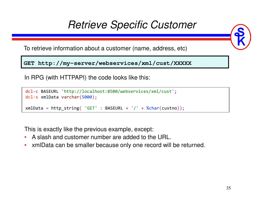#### *Retrieve Specific Customer*

To retrieve information about a customer (name, address, etc)

**GET http://my-server/webservices/xml/cust/XXXXX**

In RPG (with HTTPAPI) the code looks like this:

```
dcl-c BASEURL 'http://localhost:8500/webservices/xml/cust';
dcl-s xmlData varchar(5000);
```
xmlData = http\_string( 'GET' : BASEURL + '/' + %char(custno));

This is exactly like the previous example, except:

- •A slash and customer number are added to the URL.
- •xmlData can be smaller because only one record will be returned.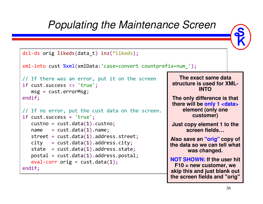#### *Populating the Maintenance Screen*



```
dcl-ds orig likeds(data_t) inz(*likeds);
```

```
xml-into cust %xml(xmlData:'case=convert countprefix=num_');
```

```
// If there was an error, put it on the screenif cust.success <> 'true';
   msg= cust.errorMsg; 

endif;
```

```
// If no error, put the cust data on the screen.if \; {\sf cust} . {\sf success} \; = \; ' true';
    \textsf{custno}=\textsf{cust.dat}(1).custno;

name 
street = cust.data(1).address.street;
            = {\sf cut.data(1)}.{\sf name};

city 
state = cust.data(1).address.state;
            = cust.data(1).address.city;

postal = cust.data(1).address.postal;

eval-corr orig
= cust.data(1);
endif;
```
**The exact same data structure is used for XML-INTO**

**The only difference is that there will be only 1 <data> element (only one customer)**

**Just copy element 1 to the screen fields…**

 **Also save an "orig" copy of the data so we can tell what was changed.**

**NOT SHOWN: If the user hit F10 = new customer, we skip this and just blank out the screen fields and "orig"**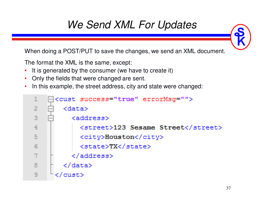### *We Send XML For Updates*

When doing a POST/PUT to save the changes, we send an XML document.

The format the XML is the same, except:

- •It is generated by the consumer (we have to create it)
- Only the fields that were changed are sent.
- $\bullet$ In this example, the street address, city and state were changed:

```
<cust success="true" errorMsg="">
1.
\overline{2}<data>3
          <address>
4
            <street>123 Sesame Street</street>
5
            <city>Houston</city>
            <state>TX</state>
6
          </address>
8
        </data>
      </cust>
9
```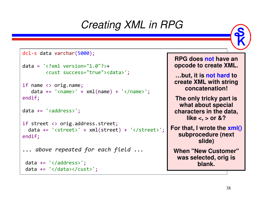#### *Creating XML in RPG*

```
dcl-s data varchar(5000);
data = '<?xml version="1.0"?>
+
<cust success="true"><data>';if name <> orig.name;
   data += '<name>'
+ xml(name) + '</name>';
endif;data += '<address>';
if street <> orig.address.street;
  data += '<street>'
+ xml(street) + '</street>';
endif;... above repeated for each field ...data += '</address>';
 data += '</data></cust>';
```
**RPG does not have an opcode to create XML.…but, it is not hard to create XML with string concatenation!**

**The only tricky part is what about special characters in the data, like <, > or &?**

**For that, I wrote the xml() subprocedure (next slide)**

When  $\mathbf{N}$  and  $\mathbf{N}$   $\mathbf{C}$  was ensured by **was selected, orig is blank.**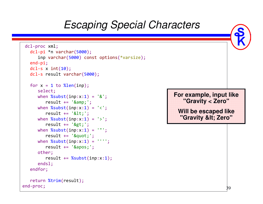#### RQ *Escaping Special Characters*dcl-proc xml; dcl-pi \*n varchar(5000); inp varchar(5000) const options(\*varsize); end-pi; dcl-s x int(10); dcl-s result varchar(5000); for  $x = 1$  to %len(inp); select; when %subst(inp:x:1) <sup>=</sup> '&'; result += '&'; when  $\text{\%subst}(inp:x:1) = ' < '$ ; result += '<'; when  $\text{\%subst}(inp:x:1) = '>\$ ; result += '>'; when  $\text{\%subst}(inp:x:1) = \text{'''}$ ; result += '"'; when  $\text{\%subst}( \texttt{inp:x:1})$  = ''''; result += '''; other; result += %subst(inp:x:1); endsl;endfor;return %trim(result);end-proc;**For example, input like "Gravity < Zero"Will be escaped like "Gravity < Zero"**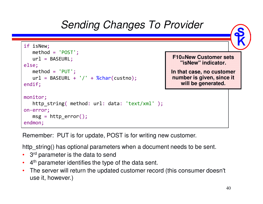

Remember: PUT is for update, POST is for writing new customer.

http\_string() has optional parameters when a document needs to be sent.

- •3<sup>rd</sup> parameter is the data to send
- $\cdot$  4<sup>th</sup> parameter identifies the type of the data sent. •
- • The server will return the updated customer record (this consumer doesn't use it, however.)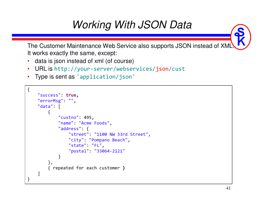### *Working With JSON Data*

The Customer Maintenance Web Service also supports JSON instead of XML. It works exactly the same, except:

- •data is json instead of xml (of course)
- •URL is http://your-server/webservices/json/cust
- •Type is sent as 'application/json'

```
{"success": true,"errorMsg": "","data": [{"custno": 495,
"name": "Acme Foods","address": {
"street": "1100 NW 33rd Street","city": "Pompano Beach","state": "FL",
"postal": "33064-2121"}},
{ repeated for each customer}]}
```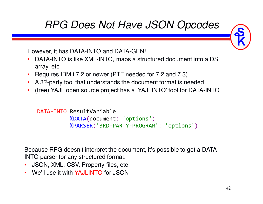#### *RPG Does Not Have JSON Opcodes*

However, it has DATA-INTO and DATA-GEN!

- • DATA-INTO is like XML-INTO, maps a structured document into a DS, array, etc
- •Requires IBM i 7.2 or newer (PTF needed for 7.2 and 7.3)
- A 3<sup>rd</sup>-party tool that understands the document format is needed
- (free) YAJL open source project has a 'YAJLINTO' tool for DATA-INTO

```
DATA-INTO ResultVariable
          %DATA(document: 'options'
)

%PARSER('3RD-PARTY-PROGRAM': 'options'
)
```
Because RPG doesn't interpret the document, it's possible to get a DATA-INTO parser for any structured format.

- JSON, XML, CSV, Property files, etc
- We'll use it with YAJLINTO for JSON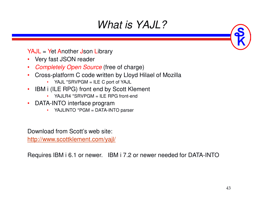### *What is YAJL?*

YAJL = Yet Another Json Library

- Very fast JSON reader
- $\bullet$ *Completely Open Source* (free of charge)
- • Cross-platform C code written by Lloyd Hilael of Mozilla
	- YAJL \*SRVPGM = ILE C port of YAJL
- IBM i (ILE RPG) front end by Scott Klement •
	- YAJLR4 \*SRVPGM = ILE RPG front-end
- • DATA-INTO interface program
	- YAJLINTO \*PGM = DATA-INTO parser •

Download from Scott's web site:

http://www.scottklement.com/yajl/

Requires IBM i 6.1 or newer. IBM i 7.2 or newer needed for DATA-INTO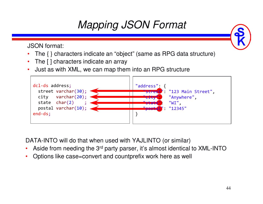### *Mapping JSON Format*

JSON format:

- •The { } characters indicate an "object" (same as RPG data structure)
- •The [ ] characters indicate an array
- Just as with XML, we can map them into an RPG structure•



DATA-INTO will do that when used with YAJLINTO (or similar)

- $\bullet$ Aside from needing the 3rd party parser, it's almost identical to XML-INTO
- $\bullet$ Options like case=convert and countprefix work here as well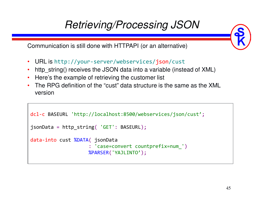### *Retrieving/Processing JSON*



Communication is still done with HTTPAPI (or an alternative)

- $\bullet$ URL is http://your-server/webservices/json/cust
- http\_string() receives the JSON data into a variable (instead of XML) •
- •Here's the example of retrieving the customer list
- The RPG definition of the "cust" data structure is the same as the XML version

```
dcl-c BASEURL 'http://localhost:8500/webservices/json/cust';
jsonData = http_string( 'GET': BASEURL);
data-into cust %DATA( jsonData
                    : 'case=convert countprefix=num_')
                    %PARSER('YAJLINTO');
```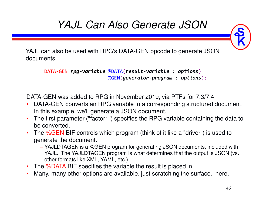### *YAJL Can Also Generate JSON*

YAJL can also be used with RPG's DATA-GEN opcode to generate JSON documents.

DATA-GEN *rpg-variable* %DATA(*result-variable : options*) %GEN(*generator-program : options*);

DATA-GEN was added to RPG in November 2019, via PTFs for 7.3/7.4

- DATA-GEN converts an RPG variable to a corresponding structured document.  $\bullet$ In this example, we'll generate a JSON document.
- $\bullet$  The first parameter ("factor1") specifies the RPG variable containing the data to be converted.
- $\bullet$ The %GEN BIF controls which program (think of it like a "driver") is used to generate the document.
	- YAJLDTAGEN is a %GEN program for generating JSON documents, included with YAJL. The YAJLDTAGEN program is what determines that the output is JSON (vs. other formats like XML, YAML, etc.)
- The %DATA BIF specifies the variable the result is placed in  $\bullet$
- •Many, many other options are available, just scratching the surface., here.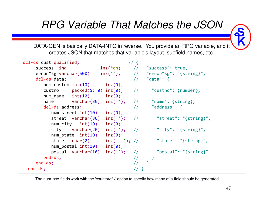### *RPG Variable That Matches the JSON*



DATA-GEN is basically DATA-INTO in reverse. You provide an RPG variable, and it creates JSON that matches that variable's layout, subfield names, etc.



The num xxx fields work with the 'countprefix' option to specify how many of a field should be generated.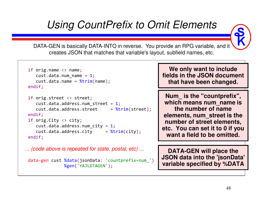#### *Using CountPrefix to Omit Elements*



DATA-GEN is basically DATA-INTO in reverse. You provide an RPG variable, and it creates JSON that matches that variable's layout, subfield names, etc.

```
if orig.name <> name;
   cust.data.num_name=1;cust.data.name = %trim(name);<br>.
endif;if orig.street <> street;
   cust.data.address.num_street=1;
cust.data.address.street

= %trim(street);
endif;
if orig.City <> city;
   cust.data.address.num_city=1;
cust.data.address.city

= %trim(city);
endif;
```

```
... (code above is repeated for state, postal, etc) ...
```

```
data-gen cust %data(jsonData: 'countprefix=num_')
             %gen('YAJLDTAGEN');
```
#### **We only want to include fields in the JSON document that have been changed.**

**Num\_ is the "countprefix", which means num\_name is the number of name elements, num\_street is the number of street elements, etc. You can set it to 0 if you want a field to be omitted.**

**DATA-GEN will place the JSON data into the 'jsonData' variable specified by %DATA**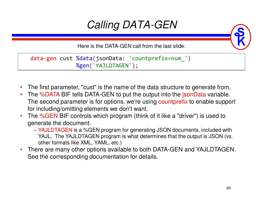### *Calling DATA-GEN*

Here is the DATA-GEN call from the last slide:

data-gen cust %data(jsonData: 'countprefix=num\_') %gen('YAJLDTAGEN');

- $\bullet$ The first parameter, "cust" is the name of the data structure to generate from.
- •• The %DATA BIF tells DATA-GEN to put the output into the jsonData variable. The second parameter is for options, we're using countprefix to enable support for including/omitting elements we don't want.
- The %GEN BIF controls which program (think of it like a "driver") is used to •generate the document.
	- YAJLDTAGEN is a %GEN program for generating JSON documents, included with<br>
	We use The XA ILDTAGEN we want is what determines that the extrust is JSON (see YAJL. The YAJLDTAGEN program is what determines that the output is JSON (vs. other formats like XML, YAML, etc.)
- • There are many other options available to both DATA-GEN and YAJLDTAGEN. See the corresponding documentation for details.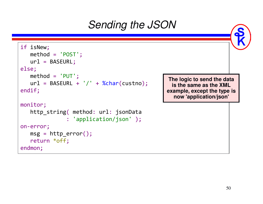### *Sending the JSON*

```
if isNew;
   method = 'POST';
   url = BASEURL;
else;
method = 'PUT';
   url = BASEURL + '/' + %char(custno);
endif;monitor;
http_string( method: url: jsonData
               : 'application/json' );
on-error;
msg = http_error();
   return *off;
endmon;
```
**The logic to send the data is the same as the XML example, except the type is now 'application/json'**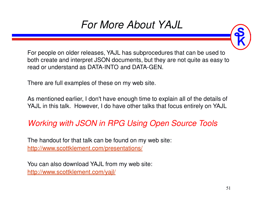### *For More About YAJL*



For people on older releases, YAJL has subprocedures that can be used to both create and interpret JSON documents, but they are not quite as easy to read or understand as DATA-INTO and DATA-GEN.

There are full examples of these on my web site.

As mentioned earlier, I don't have enough time to explain all of the details of YAJL in this talk. However, I do have other talks that focus entirely on YAJL

#### *Working with JSON in RPG Using Open Source Tools*

The handout for that talk can be found on my web site:http://www.scottklement.com/presentations/

You can also download YAJL from my web site:http://www.scottklement.com/yajl/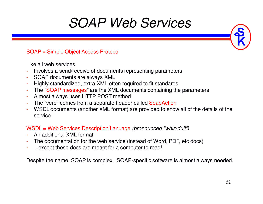### *SOAP Web Services*

#### SOAP = Simple Object Access Protocol

Like all web services:

- •Involves a send/receive of documents representing parameters.
- •SOAP documents are always XML
- •Highly standardized, extra XML often required to fit standards
- The "SOAP messages" are the XML documents containing the parameters
- •Almost always uses HTTP POST method
- The "verb" comes from a separate header called SoapAction
- WSDL documents (another XML format) are provided to show all of the details of the •service

#### WSDL = Web Services Description Lanuage *(pronounced "whiz-dull")*

- •An additional XML format
- •The documentation for the web service (instead of Word, PDF, etc docs)
- •...except these docs are meant for a computer to read!

Despite the name, SOAP is complex. SOAP-specific software is almost always needed.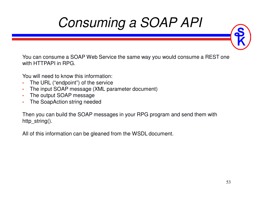## *Consuming a SOAP API*

You can consume a SOAP Web Service the same way you would consume a REST one with HTTPAPI in RPG.

You will need to know this information:

- . The URL ("endpoint") of the service •
- The input SOAP message (XML parameter document)•
- •The output SOAP message
- The SoapAction string needed•

Then you can build the SOAP messages in your RPG program and send them with http string().

All of this information can be gleaned from the WSDL document.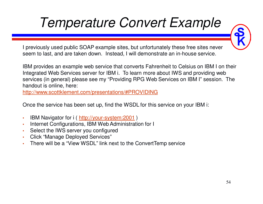## *Temperature Convert Example*

I previously used public SOAP example sites, but unfortunately these free sites never seem to last, and are taken down. Instead, I will demonstrate an in-house service.

IBM provides an example web service that converts Fahrenheit to Celsius on IBM I on their Integrated Web Services server for IBM i. To learn more about IWS and providing web services (in general) please see my "Providing RPG Web Services on IBM I" session. The handout is online, here:

http://www.scottklement.com/presentations/#PROVIDING

Once the service has been set up, find the WSDL for this service on your IBM i:

- •• IBM Navigator for i ( http://your-system:2001 )
- •Internet Configurations, IBM Web Administration for I
- •Select the IWS server you configured
- •Click "Manage Deployed Services"
- There will be a "View WSDL" link next to the ConvertTemp service•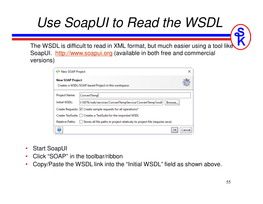## *Use SoapUI to Read the WSDL*

The WSDL is difficult to read in XML format, but much easier using a tool like SoapUI. http://www.soapui.org (available in both free and commercial versions)

| <b>New SOAP Project</b>                                                                               |                                                                 | × |  |  |  |
|-------------------------------------------------------------------------------------------------------|-----------------------------------------------------------------|---|--|--|--|
| <b>New SOAP Project</b>                                                                               | Creates a WSDL/SOAP based Project in this workspace             |   |  |  |  |
| Project Name:                                                                                         | ConvertTemp                                                     |   |  |  |  |
| Initial WSDL:<br>3:10076/web/services/ConvertTempService/ConvertTemp?wsdl<br>Browse                   |                                                                 |   |  |  |  |
| Create Requests: C Create sample requests for all operations?                                         |                                                                 |   |  |  |  |
|                                                                                                       | Create TestSuite:     Creates a TestSuite for the imported WSDL |   |  |  |  |
| Stores all file paths in project relatively to project file (requires save)<br><b>Relative Paths:</b> |                                                                 |   |  |  |  |
|                                                                                                       | Cancel                                                          |   |  |  |  |

- $\bullet$ Start SoapUI
- $\bullet$ Click "SOAP" in the toolbar/ribbon
- Copy/Paste the WSDL link into the "Initial WSDL" field as shown above.  $\bullet$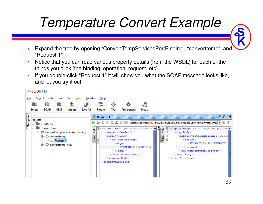## *Temperature Convert Example*

- • Expand the tree by opening "ConvertTempServicesPortBinding", "converttemp", and "Request 1"
- • Notice that you can read various property details (from the WSDL) for each of the things you click (the binding, operation, request, etc)
- • If you double-click "Request 1" it will show you what the SOAP message looks like, and let you try it out.

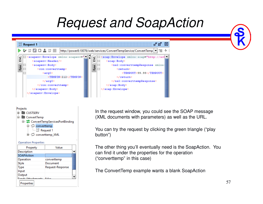### *Request and SoapAction*





#### **Operation Properties**

| Property          | Value            |  |
|-------------------|------------------|--|
| Description       |                  |  |
| <b>SOAPAction</b> |                  |  |
| Operation         | converttemp      |  |
| Style             | Document         |  |
| Type              | Request-Response |  |
| Input             |                  |  |
| Output            |                  |  |
| Conde Attachmonte |                  |  |
| Properties        |                  |  |

In the request window, you could see the SOAP message (XML documents with parameters) as well as the URL.

You can try the request by clicking the green triangle ("play button")

The other thing you'll eventually need is the SoapAction. You can find it under the properties for the operation ("converttemp" in this case)

The ConvertTemp example wants a blank SoapAction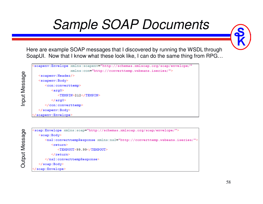### *Sample SOAP Documents*

Here are example SOAP messages that I discovered by running the WSDL through SoapUI. Now that I know what these look like, I can do the same thing from RPG…

```
"soapenv:Envelope xmlns:soapenv="http://schemas.xmlsoap.org/soap/envelope/"
                  xmlns:con="http://converttemp.wsbeans.iseries/">
  <soapenv:Header/>
  <soapenv:Body>
     <con:converttemp>
         <arg0><TEMPIN>212</TEMPIN>
         \langle /arg0 \rangle</con:converttemp>
  </soapenv:Body>
 soapenv:Envelope>
```

```
Output Message
  Output Message
```
Input Message

Input Message

```
<soap:Envelope xmlns:soap="http://schemas.xmlsoap.org/soap/envelope/">
  <soap:Body>
     <ns2:converttempResponse xmlns:ns2="http://converttemp.wsbeans.iseries/">
         <return>
            <TEMPOUT>99.99</TEMPOUT>
         </return>
     </ns2:converttempResponse>
  </soap:Body>
</soap:Envelope>
```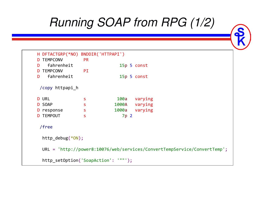### *Running SOAP from RPG (1/2)*

```
H DFTACTGRP(*NO) BNDDIR('HTTPAPI')D TEMPCONV PR
Dfahrenheit<br>MPCONV PI
                               p5 const
D TEMPCONV PI
Dfahrenheit
                               p5 const
 /copy httpapi_h
D URL
D URL S 100
                           100a
                                   varying
D SOAP
<mark>D</mark> SOAP s s 1000
                              0a
                          1000A
                                   varying
D response s s 1000
                                   varying
D TEMPOUT s
                              7p 2
/freehttp_debug(*ON);URL = 'http://power8:10076/web/services/ConvertTempService/ConvertTemp';
  http_setOption('SoapAction': '""');
```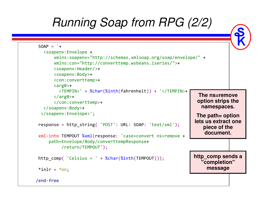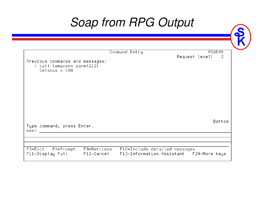### *Soap from RPG Output*

|                                                                                 | Command Entry                 | POWER8                                  |
|---------------------------------------------------------------------------------|-------------------------------|-----------------------------------------|
| Previous commands and messages:<br>> call tempconv parm(212)<br>Celsius = $100$ |                               | Request level:<br>- 3                   |
| Type command, press Enter.<br>$\Rightarrow$ = $\Rightarrow$                     |                               | Bottom                                  |
| F3=Exit F4=Prompt F9=Retrieve<br>F11=Display full F12=Cancel                    | F10=Include detailed messages | F13=Information Assistant F24=More keys |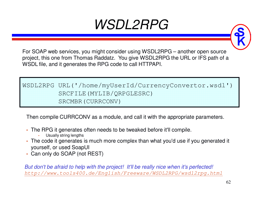### *WSDL2RPG*



For SOAP web services, you might consider using WSDL2RPG – another open source project, this one from Thomas Raddatz. You give WSDL2RPG the URL or IFS path of a WSDL file, and it generates the RPG code to call HTTPAPI.

WSDL2RPG URL('/home/myUserId/CurrencyConvertor.wsdl') SRCFILE(MYLIB/QRPGLESRC) SRCMBR(CURRCONV)

Then compile CURRCONV as a module, and call it with the appropriate parameters.

- • The RPG it generates often needs to be tweaked before it'll compile.
	- Usually string lengths

•

- The code it generates is much more complex than what you'd use if you generated it yourself, or used SoapUI
- Can only do SOAP (not REST)

*But don't be afraid to help with the project! It'll be really nice when it's perfected!http://www.tools400.de/English/Freeware/WSDL2RPG/wsdl2rpg.html*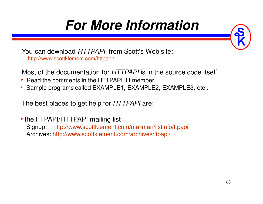## **For More Information**

You can download *HTTPAPI* from Scott's Web site: http://www.scottklement.com/httpapi/

Most of the documentation for *HTTPAPI* is in the source code itself.

- Read the comments in the HTTPAPI\_H member
- •Sample programs called EXAMPLE1, EXAMPLE2, EXAMPLE3, etc..

The best places to get help for *HTTPAPI* are:

• the FTPAPI/HTTPAPI mailing list Signup: http://www.scottklement.com/mailman/listinfo/ftpapiArchives: http://www.scottklement.com/archives/ftpapi/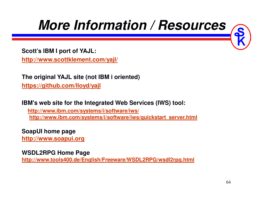### **More Information / Resources**

**Scott's IBM I port of YAJL:http://www.scottklement.com/yajl/**

**The original YAJL site (not IBM i oriented)https://github.com/lloyd/yajl**

**IBM's web site for the Integrated Web Services (IWS) tool:**

**http://www.ibm.com/systems/i/software/iws/http://www.ibm.com/systems/i/software/iws/quickstart\_server.html**

**SoapUI home page**

**http://www.soapui.org**

**WSDL2RPG Home Page**

**http://www.tools400.de/English/Freeware/WSDL2RPG/wsdl2rpg.html**